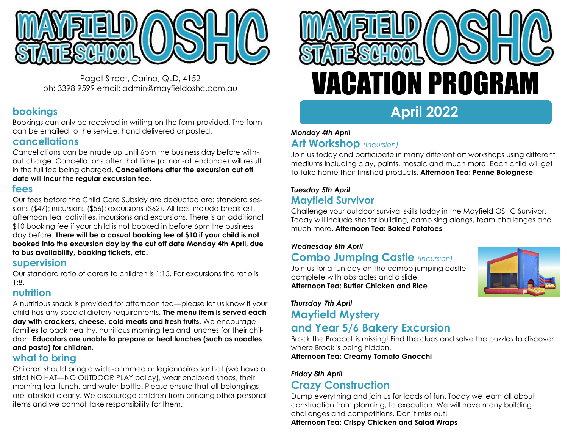

Paget Street, Carina, QLD, 4152 ph: 3398 9599 email: admin@mayfieldoshc.com.au

# **bookings**

Bookings can only be received in writing on the form provided. The form can be emailed to the service, hand delivered or posted.

## **cancellations**

Cancellations can be made up until 6pm the business day before without charge. Cancellations after that time (or non-attendance) will result in the full fee being charged. **Cancellations after the excursion cut off date will incur the regular excursion fee.**

### **fees**

Our fees before the Child Care Subsidy are deducted are: standard sessions (\$47); incursions (\$56); excursions (\$62). All fees include breakfast, afternoon tea, activities, incursions and excursions. There is an additional \$10 booking fee if your child is not booked in before 6pm the business day before. **There will be a casual booking fee of \$10 if your child is not booked into the excursion day by the cut off date Monday 4th April, due to bus availability, booking tickets, etc.**

## **supervision**

Our standard ratio of carers to children is 1:15. For excursions the ratio is 1:8.

## **nutrition**

A nutritious snack is provided for afternoon tea—please let us know if your child has any special dietary requirements. **The menu item is served each day with crackers, cheese, cold meats and fresh fruits.** We encourage families to pack healthy, nutritious morning tea and lunches for their children. **Educators are unable to prepare or heat lunches (such as noodles and pasta) for children.**

# **what to bring**

Children should bring a wide-brimmed or legionnaires sunhat (we have a strict NO HAT—NO OUTDOOR PLAY policy), wear enclosed shoes, their morning tea, lunch, and water bottle. Please ensure that all belongings are labelled clearly. We discourage children from bringing other personal items and we cannot take responsibility for them.



# *Monday 4th April*

# **Art Workshop** *(incursion)*

Join us today and participate in many different art workshops using different mediums including clay, paints, mosaic and much more. Each child will get to take home their finished products. **Afternoon Tea: Penne Bolognese**

# *Tuesday 5th April* **Mayfield Survivor**

Challenge your outdoor survival skills today in the Mayfield OSHC Survivor. Today will include shelter building, camp sing alongs, team challenges and much more. **Afternoon Tea: Baked Potatoes**

### *Wednesday 6th April*

# **Combo Jumping Castle** *(incursion)*

Join us for a fun day on the combo jumping castle complete with obstacles and a slide. **Afternoon Tea: Butter Chicken and Rice**



# *Thursday 7th April* **Mayfield Mystery and Year 5/6 Bakery Excursion**

Brock the Broccoli is missing! Find the clues and solve the puzzles to discover where Brock is being hidden.

**Afternoon Tea: Creamy Tomato Gnocchi**

## *Friday 8th April*

# **Crazy Construction**

Dump everything and join us for loads of fun. Today we learn all about construction from planning, to execution. We will have many building challenges and competitions. Don't miss out! **Afternoon Tea: Crispy Chicken and Salad Wraps**